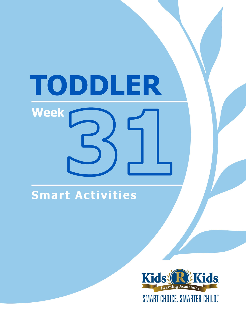# TODDLER Week

# Smart Activities

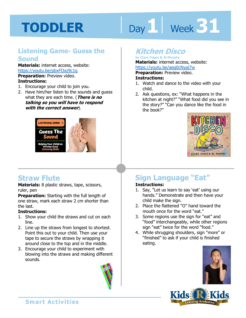# Day 1 **Week 31**

#### **Listening Game- Guess the Sound**

**Materials:** internet access, website: https://youtu.be/pbxFOxz9c1g **Preparation:** Preview video. **Instructions:** 

- 1. Encourage your child to join you.
- 2. Have him/her listen to the sounds and guess what they are each time. (**There is no talking so you will have to respond with the correct answer**).



## **Straw Flute**

**Materials:** 8 plastic straws, tape, scissors, ruler, pen

**Preparation:** Starting with the full length of one straw, mark each straw 2 cm shorter than the last.

#### **Instructions:**

- 1. Show your child the straws and cut on each line.
- 2. Line up the straws from longest to shortest. Point this out to your child. Then use your tape to secure the straws by wrapping it around close to the top and in the middle.
- 3. Encourage your child to experiment with blowing into the straws and making different sounds.



## **Kitchen Disco**

**by Clare Foges & Al Murphy Materials:** internet access, website:

https://youtu.be/aeg0cNyaj7w<br>**Preparation:** Preview video.<br>**Instructions:**<br>1. Wateb and danse to the video with v **Preparation:** Preview video.

#### **Instructions:**

- 1. Watch and dance to the video with your child.
- 2. Ask questions, ex: "What happens in the kitchen at night?" "What food did you see in the story?" "Can you dance like the food in the book?"



# **Sign Language "Eat"**

#### **Instructions:**

- 1. Say, "Let us learn to say 'eat' using our hands." Demonstrate and then have your child make the sign.
- 2. Place the flattened "O" hand toward the mouth once for the word "eat."
- 3. Some regions use the sign for "eat" and "food" interchangeably, while other regions sign "eat" twice for the word "food."
- 4. While shrugging shoulders, sign "more" or "finished" to ask if your child is finished eating.





**Smart Activities**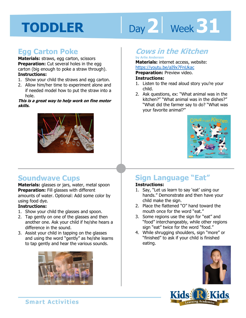# Day 2 **Week 31**

## **Egg Carton Poke**

**Materials:** straws, egg carton, scissors **Preparation:** Cut several holes in the egg carton (big enough to poke a straw through). **Instructions:** 

- 1. Show your child the straws and egg carton.
- 2. Allow him/her time to experiment alone and if needed model how to put the straw into a hole.

#### **This is a great way to help work on fine motor skills.**



#### **Cows in the Kitchen by Arlie Anderson**

## **Materials:** internet access, website:

https://youtu.be/aI9x7FnUkac

**1 4 Preparation:** Preview video.

#### **Instructions:**

- 1. Listen to the read aloud story you're your child.
- 2. Ask questions, ex: "What animal was in the kitchen?" "What animal was in the dishes?" "What did the farmer say to do? "What was your favorite animal?"



## **Soundwave Cups**

**Materials:** glasses or jars, water, metal spoon **Preparation:** Fill glasses with different amounts of water. Optional: Add some color by using food dye.

#### **Instructions:**

- 1. Show your child the glasses and spoon.
- 2. Tap gently on one of the glasses and then another one. Ask your child if he/she hears a difference in the sound.
- 3. Assist your child in tapping on the glasses and using the word "gently" as he/she learns to tap gently and hear the various sounds.



# **Sign Language "Eat"**

#### **Instructions:**

- 1. Say, "Let us learn to say 'eat' using our hands." Demonstrate and then have your child make the sign.
- 2. Place the flattened "O" hand toward the mouth once for the word "eat."
- 3. Some regions use the sign for "eat" and "food" interchangeably, while other regions sign "eat" twice for the word "food."
- 4. While shrugging shoulders, sign "more" or "finished" to ask if your child is finished eating.



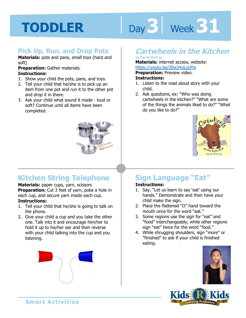# Day 3 | Week 31

#### **Pick Up, Run, and Drop Pots**

**Materials:** pots and pans, small toys (hard and soft)

#### **Preparation:** Gather materials. **Instructions:**

- 1. Show your child the pots, pans, and toys.
- 2. Tell your child that he/she is to pick up an item from one pot and run it to the other pot and drop it in there.
- 3. Ask your child what sound it made loud or soft? Continue until all items have been completed.



# **Kitchen String Telephone**

**Materials:** paper cups, yarn, scissors **Preparation:** Cut 3 feet of yarn, poke a hole in each cup, and secure yarn inside each cup. **Instructions:** 

- 1. Tell your child that he/she is going to talk on the phone.
- 2. Give your child a cup and you take the other one. Talk into it and encourage him/her to hold it up to his/her ear and then reverse with your child talking into the cup and you listening.



## **Cartwheels in the Kitchen**

#### **by David Melling**

**Materials:** internet access, website:

https://youtu.be/J0w34oLzoPw<br>**Preparation:** Preview video.<br>**Instructions:**<br>1 Listen to the read aloud stars with w **Preparation:** Preview video.

#### **Instructions:**

- 1. Listen to the read aloud story with your child.
- 2. Ask questions, ex: "Who was doing cartwheels in the kitchen?" "What are some of the things the animals liked to do?" "What do you like to do?"



# **Sign Language "Eat"**

#### **Instructions:**

- 1. Say, "Let us learn to say 'eat' using our hands." Demonstrate and then have your child make the sign.
- 2. Place the flattened "O" hand toward the mouth once for the word "eat."
- 3. Some regions use the sign for "eat" and "food" interchangeably, while other regions sign "eat" twice for the word "food."
- 4. While shrugging shoulders, sign "more" or "finished" to ask if your child is finished eating.



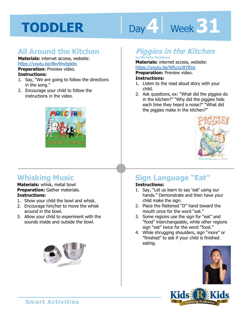# Day 4 | Week 31

## **All Around the Kitchen**

**Materials:** internet access, website: https://youtu.be/8kv9nvbpkbs

**Preparation:** Preview video.

#### **Instructions:**

- 1. Say, "We are going to follow the directions in the song."
- 2. Encourage your child to follow the instructions in the video.



# **Whisking Music**

**Materials:** whisk, metal bowl **Preparation:** Gather materials. **Instructions:** 

- 1. Show your child the bowl and whisk.
- 2. Encourage him/her to move the whisk around in the bowl.
- 3. Allow your child to experiment with the sounds inside and outside the bowl.



# **Piggies in the Kitchen**

#### **by Michelle Meadows**

**Materials:** internet access, website: https://youtu.be/Wfu1a3tYB1k

**1 4 Preparation:** Preview video. **Instructions:** 

- 1. Listen to the read aloud story with your child.
- 2. Ask questions, ex: "What did the piggies do in the kitchen?" "Why did the piggies hide each time they heard a noise?" "What did the piggies make in the kitchen?"



# **Sign Language "Eat"**

#### **Instructions:**

- 1. Say, "Let us learn to say 'eat' using our hands." Demonstrate and then have your child make the sign.
- 2. Place the flattened "O" hand toward the mouth once for the word "eat."
- 3. Some regions use the sign for "eat" and "food" interchangeably, while other regions sign "eat" twice for the word "food."
- 4. While shrugging shoulders, sign "more" or "finished" to ask if your child is finished eating.





**Smart Activities**